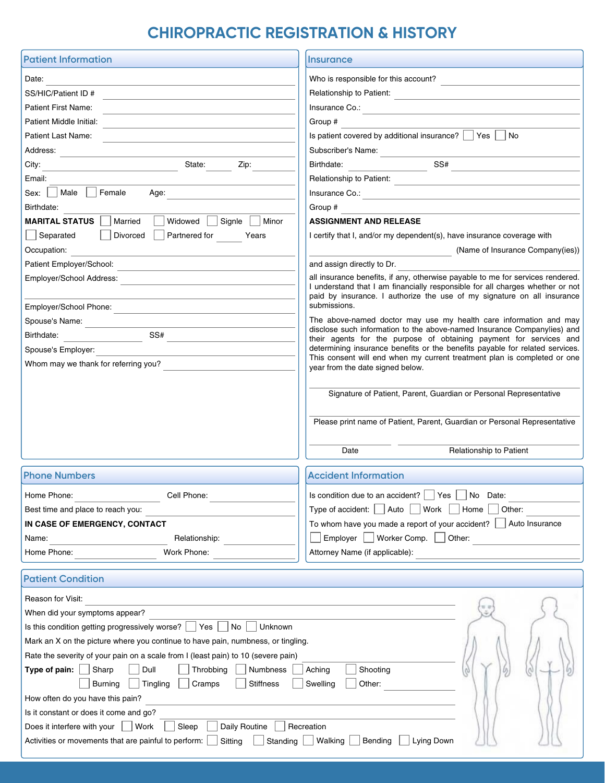## **CHIROPRACTIC REGISTRATION & HISTORY**

| <b>Patient Information</b>                                                                                                                     | <b>Insurance</b>                                                                                                                                                                                                                                                                                   |  |  |  |  |  |
|------------------------------------------------------------------------------------------------------------------------------------------------|----------------------------------------------------------------------------------------------------------------------------------------------------------------------------------------------------------------------------------------------------------------------------------------------------|--|--|--|--|--|
| Date:                                                                                                                                          | Who is responsible for this account?                                                                                                                                                                                                                                                               |  |  |  |  |  |
| SS/HIC/Patient ID #                                                                                                                            | Relationship to Patient:<br><br><br><br><br><br><br><br><br><br><br><br><br><br><br><br><br><br><br><br><br><br><br><br><br><br><br>                                                                                                                                                               |  |  |  |  |  |
| Patient First Name:                                                                                                                            |                                                                                                                                                                                                                                                                                                    |  |  |  |  |  |
| Patient Middle Initial:                                                                                                                        | Group #                                                                                                                                                                                                                                                                                            |  |  |  |  |  |
| Patient Last Name:                                                                                                                             | Is patient covered by additional insurance?   Yes  <br>  No                                                                                                                                                                                                                                        |  |  |  |  |  |
| Address:                                                                                                                                       | Subscriber's Name:                                                                                                                                                                                                                                                                                 |  |  |  |  |  |
| State:<br>City:<br>Zip:                                                                                                                        | Birthdate: SS#                                                                                                                                                                                                                                                                                     |  |  |  |  |  |
| Email:                                                                                                                                         | Relationship to Patient:                                                                                                                                                                                                                                                                           |  |  |  |  |  |
| Sex: Male Female Age:                                                                                                                          | the control of the control of the control of the control of the control of<br>Insurance Co.:                                                                                                                                                                                                       |  |  |  |  |  |
|                                                                                                                                                |                                                                                                                                                                                                                                                                                                    |  |  |  |  |  |
| Birthdate:                                                                                                                                     | Group #                                                                                                                                                                                                                                                                                            |  |  |  |  |  |
| <b>MARITAL STATUS</b><br>  Married     Widowed     Signle<br>Minor                                                                             | <b>ASSIGNMENT AND RELEASE</b>                                                                                                                                                                                                                                                                      |  |  |  |  |  |
| Separated<br>Divorced    <br>Partnered for<br>Years                                                                                            | I certify that I, and/or my dependent(s), have insurance coverage with                                                                                                                                                                                                                             |  |  |  |  |  |
| Occupation:                                                                                                                                    | (Name of Insurance Company(ies))                                                                                                                                                                                                                                                                   |  |  |  |  |  |
| Patient Employer/School:                                                                                                                       | and assign directly to Dr.                                                                                                                                                                                                                                                                         |  |  |  |  |  |
| Employer/School Address:                                                                                                                       | all insurance benefits, if any, otherwise payable to me for services rendered.<br>I understand that I am financially responsible for all charges whether or not                                                                                                                                    |  |  |  |  |  |
|                                                                                                                                                | paid by insurance. I authorize the use of my signature on all insurance                                                                                                                                                                                                                            |  |  |  |  |  |
| Employer/School Phone:                                                                                                                         | submissions.                                                                                                                                                                                                                                                                                       |  |  |  |  |  |
| Spouse's Name:<br>the control of the control of the control of                                                                                 | The above-named doctor may use my health care information and may<br>disclose such information to the above-named Insurance Companylies) and<br>their agents for the purpose of obtaining payment for services and<br>determining insurance benefits or the benefits payable for related services. |  |  |  |  |  |
| Birthdate: SS#                                                                                                                                 |                                                                                                                                                                                                                                                                                                    |  |  |  |  |  |
| Spouse's Employer:                                                                                                                             |                                                                                                                                                                                                                                                                                                    |  |  |  |  |  |
| Whom may we thank for referring you?                                                                                                           | This consent will end when my current treatment plan is completed or one<br>year from the date signed below.                                                                                                                                                                                       |  |  |  |  |  |
|                                                                                                                                                |                                                                                                                                                                                                                                                                                                    |  |  |  |  |  |
|                                                                                                                                                | Signature of Patient, Parent, Guardian or Personal Representative                                                                                                                                                                                                                                  |  |  |  |  |  |
|                                                                                                                                                |                                                                                                                                                                                                                                                                                                    |  |  |  |  |  |
| Please print name of Patient, Parent, Guardian or Personal Representative                                                                      |                                                                                                                                                                                                                                                                                                    |  |  |  |  |  |
|                                                                                                                                                |                                                                                                                                                                                                                                                                                                    |  |  |  |  |  |
|                                                                                                                                                | Date<br>Relationship to Patient                                                                                                                                                                                                                                                                    |  |  |  |  |  |
|                                                                                                                                                |                                                                                                                                                                                                                                                                                                    |  |  |  |  |  |
| <b>Phone Numbers</b>                                                                                                                           | <b>Accident Information</b>                                                                                                                                                                                                                                                                        |  |  |  |  |  |
| Home Phone:<br>Cell Phone:                                                                                                                     | Is condition due to an accident? Ves No Date:                                                                                                                                                                                                                                                      |  |  |  |  |  |
| Best time and place to reach you:                                                                                                              | l Auto<br>Work<br>Type of accident:  <br>Home<br>Other:                                                                                                                                                                                                                                            |  |  |  |  |  |
| IN CASE OF EMERGENCY, CONTACT                                                                                                                  | To whom have you made a report of your accident?<br>Auto Insurance                                                                                                                                                                                                                                 |  |  |  |  |  |
| Relationship:<br>Name:                                                                                                                         | Employer     Worker Comp.<br>Other:                                                                                                                                                                                                                                                                |  |  |  |  |  |
| Home Phone:<br>Work Phone:                                                                                                                     | Attorney Name (if applicable):                                                                                                                                                                                                                                                                     |  |  |  |  |  |
|                                                                                                                                                |                                                                                                                                                                                                                                                                                                    |  |  |  |  |  |
| <b>Patient Condition</b>                                                                                                                       |                                                                                                                                                                                                                                                                                                    |  |  |  |  |  |
| Reason for Visit:                                                                                                                              |                                                                                                                                                                                                                                                                                                    |  |  |  |  |  |
| When did your symptoms appear?                                                                                                                 |                                                                                                                                                                                                                                                                                                    |  |  |  |  |  |
| Unknown<br>Is this condition getting progressively worse?<br>Yes<br>No                                                                         |                                                                                                                                                                                                                                                                                                    |  |  |  |  |  |
| Mark an X on the picture where you continue to have pain, numbness, or tingling.                                                               |                                                                                                                                                                                                                                                                                                    |  |  |  |  |  |
| Rate the severity of your pain on a scale from I (least pain) to 10 (severe pain)                                                              |                                                                                                                                                                                                                                                                                                    |  |  |  |  |  |
| Shooting<br>Sharp<br>Dull<br>Type of pain:<br>Throbbing<br>Numbness<br>Aching                                                                  |                                                                                                                                                                                                                                                                                                    |  |  |  |  |  |
| <b>Stiffness</b><br>Other:<br><b>Burning</b><br>Tingling<br>Cramps<br>Swelling                                                                 |                                                                                                                                                                                                                                                                                                    |  |  |  |  |  |
|                                                                                                                                                |                                                                                                                                                                                                                                                                                                    |  |  |  |  |  |
|                                                                                                                                                |                                                                                                                                                                                                                                                                                                    |  |  |  |  |  |
| How often do you have this pain?                                                                                                               |                                                                                                                                                                                                                                                                                                    |  |  |  |  |  |
| Is it constant or does it come and go?                                                                                                         |                                                                                                                                                                                                                                                                                                    |  |  |  |  |  |
| Does it interfere with your<br>  Work<br>Sleep<br>Daily Routine<br>Sitting<br>Standing<br>Activities or movements that are painful to perform: | Recreation<br>Walking<br>Bending<br>Lying Down                                                                                                                                                                                                                                                     |  |  |  |  |  |